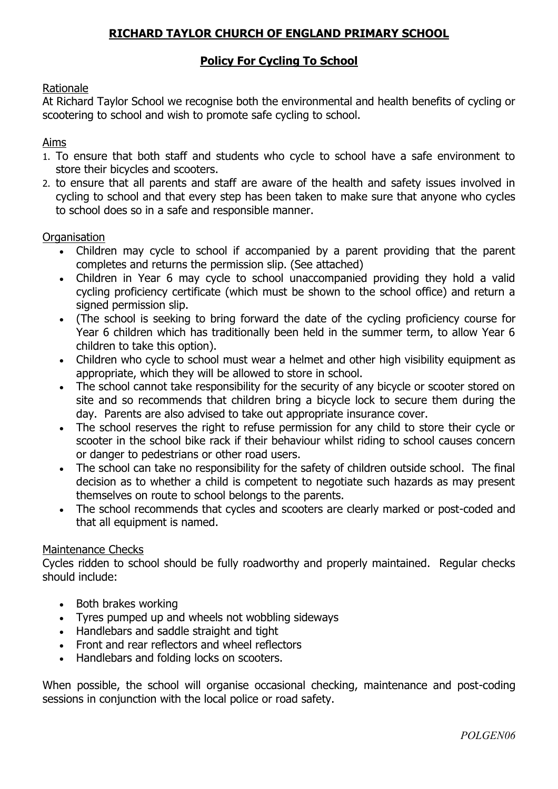# **RICHARD TAYLOR CHURCH OF ENGLAND PRIMARY SCHOOL**

## **Policy For Cycling To School**

### Rationale

At Richard Taylor School we recognise both the environmental and health benefits of cycling or scootering to school and wish to promote safe cycling to school.

## Aims

- 1. To ensure that both staff and students who cycle to school have a safe environment to store their bicycles and scooters.
- 2. to ensure that all parents and staff are aware of the health and safety issues involved in cycling to school and that every step has been taken to make sure that anyone who cycles to school does so in a safe and responsible manner.

### Organisation

- Children may cycle to school if accompanied by a parent providing that the parent completes and returns the permission slip. (See attached)
- Children in Year 6 may cycle to school unaccompanied providing they hold a valid cycling proficiency certificate (which must be shown to the school office) and return a signed permission slip.
- (The school is seeking to bring forward the date of the cycling proficiency course for Year 6 children which has traditionally been held in the summer term, to allow Year 6 children to take this option).
- Children who cycle to school must wear a helmet and other high visibility equipment as appropriate, which they will be allowed to store in school.
- The school cannot take responsibility for the security of any bicycle or scooter stored on site and so recommends that children bring a bicycle lock to secure them during the day. Parents are also advised to take out appropriate insurance cover.
- The school reserves the right to refuse permission for any child to store their cycle or scooter in the school bike rack if their behaviour whilst riding to school causes concern or danger to pedestrians or other road users.
- The school can take no responsibility for the safety of children outside school. The final decision as to whether a child is competent to negotiate such hazards as may present themselves on route to school belongs to the parents.
- The school recommends that cycles and scooters are clearly marked or post-coded and that all equipment is named.

### Maintenance Checks

Cycles ridden to school should be fully roadworthy and properly maintained. Regular checks should include:

- Both brakes working
- Tyres pumped up and wheels not wobbling sideways
- Handlebars and saddle straight and tight
- Front and rear reflectors and wheel reflectors
- Handlebars and folding locks on scooters.

When possible, the school will organise occasional checking, maintenance and post-coding sessions in conjunction with the local police or road safety.